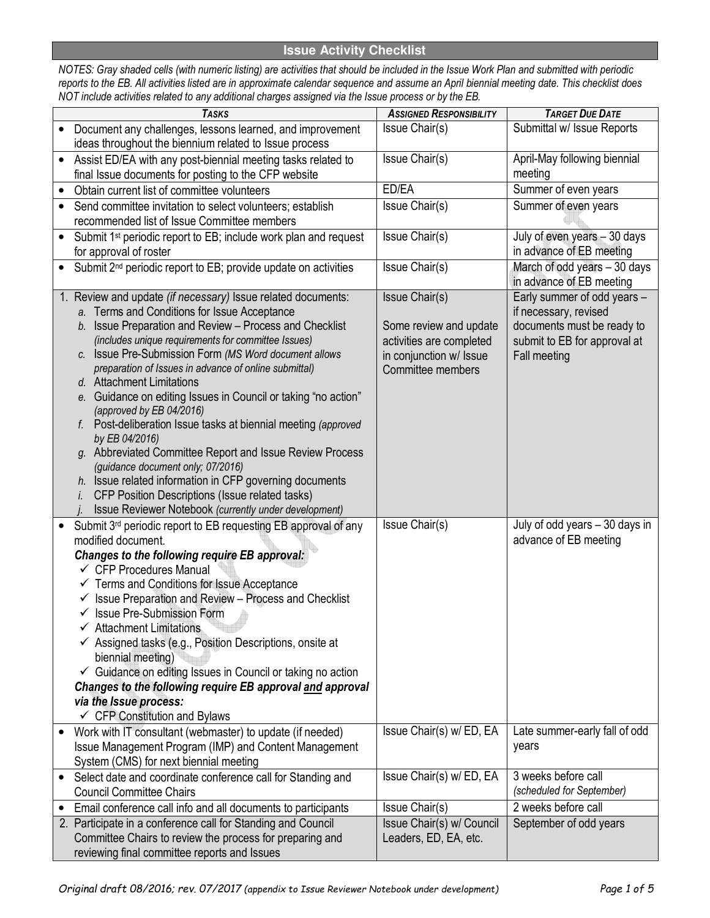## **Issue Activity Checklist**

*NOTES: Gray shaded cells (with numeric listing) are activities that should be included in the Issue Work Plan and submitted with periodic reports to the EB. All activities listed are in approximate calendar sequence and assume an April biennial meeting date. This checklist does NOT include activities related to any additional charges assigned via the Issue process or by the EB.* 

|           | <b>TASKS</b>                                                                  | <b>ASSIGNED RESPONSIBILITY</b> | <b>TARGET DUE DATE</b>                           |
|-----------|-------------------------------------------------------------------------------|--------------------------------|--------------------------------------------------|
|           | Document any challenges, lessons learned, and improvement                     | Issue Chair(s)                 | Submittal w/ Issue Reports                       |
|           | ideas throughout the biennium related to Issue process                        |                                |                                                  |
| $\bullet$ | Assist ED/EA with any post-biennial meeting tasks related to                  | Issue Chair(s)                 | April-May following biennial                     |
|           | final Issue documents for posting to the CFP website                          |                                | meeting                                          |
|           | Obtain current list of committee volunteers                                   | ED/EA                          | Summer of even years                             |
|           | Send committee invitation to select volunteers; establish                     | Issue Chair(s)                 | Summer of even years                             |
|           | recommended list of Issue Committee members                                   |                                |                                                  |
| $\bullet$ | Submit 1 <sup>st</sup> periodic report to EB; include work plan and request   | Issue Chair(s)                 | July of even years - 30 days                     |
|           | for approval of roster                                                        |                                | in advance of EB meeting                         |
| $\bullet$ | Submit 2 <sup>nd</sup> periodic report to EB; provide update on activities    | Issue Chair(s)                 | March of odd years - 30 days                     |
|           |                                                                               |                                | in advance of EB meeting                         |
|           | 1. Review and update (if necessary) Issue related documents:                  | Issue Chair(s)                 | Early summer of odd years -                      |
|           | a. Terms and Conditions for Issue Acceptance                                  |                                | if necessary, revised                            |
|           | b. Issue Preparation and Review - Process and Checklist                       | Some review and update         | documents must be ready to                       |
|           | (includes unique requirements for committee Issues)                           | activities are completed       | submit to EB for approval at                     |
|           | c. Issue Pre-Submission Form (MS Word document allows                         | in conjunction w/ Issue        | <b>Fall meeting</b>                              |
|           | preparation of Issues in advance of online submittal)                         | Committee members              |                                                  |
|           | d. Attachment Limitations                                                     |                                |                                                  |
|           | e. Guidance on editing Issues in Council or taking "no action"                |                                |                                                  |
|           | (approved by EB 04/2016)                                                      |                                |                                                  |
|           | Post-deliberation Issue tasks at biennial meeting (approved<br>by EB 04/2016) |                                |                                                  |
|           | g. Abbreviated Committee Report and Issue Review Process                      |                                |                                                  |
|           | (guidance document only; 07/2016)                                             |                                |                                                  |
|           | h. Issue related information in CFP governing documents                       |                                |                                                  |
|           | CFP Position Descriptions (Issue related tasks)<br>İ.                         |                                |                                                  |
|           | Issue Reviewer Notebook (currently under development)                         |                                |                                                  |
|           | Submit 3 <sup>rd</sup> periodic report to EB requesting EB approval of any    | Issue Chair(s)                 | July of odd years - 30 days in                   |
|           | modified document.                                                            |                                | advance of EB meeting                            |
|           | Changes to the following require EB approval:                                 |                                |                                                  |
|           | $\checkmark$ CFP Procedures Manual                                            |                                |                                                  |
|           | $\checkmark$ Terms and Conditions for Issue Acceptance                        |                                |                                                  |
|           | Issue Preparation and Review - Process and Checklist<br>✓                     |                                |                                                  |
|           | $\checkmark$ Issue Pre-Submission Form                                        |                                |                                                  |
|           | <b>Attachment Limitations</b>                                                 |                                |                                                  |
|           | $\checkmark$ Assigned tasks (e.g., Position Descriptions, onsite at           |                                |                                                  |
|           | biennial meeting)                                                             |                                |                                                  |
|           | ← Guidance on editing Issues in Council or taking no action                   |                                |                                                  |
|           | Changes to the following require EB approval and approval                     |                                |                                                  |
|           | via the Issue process:                                                        |                                |                                                  |
|           | $\checkmark$ CFP Constitution and Bylaws                                      |                                |                                                  |
|           | Work with IT consultant (webmaster) to update (if needed)                     | Issue Chair(s) w/ ED, EA       | Late summer-early fall of odd                    |
|           | Issue Management Program (IMP) and Content Management                         |                                | years                                            |
|           | System (CMS) for next biennial meeting                                        |                                |                                                  |
| $\bullet$ | Select date and coordinate conference call for Standing and                   | Issue Chair(s) w/ ED, EA       | 3 weeks before call<br>(scheduled for September) |
|           | <b>Council Committee Chairs</b>                                               |                                |                                                  |
| $\bullet$ | Email conference call info and all documents to participants                  | Issue Chair(s)                 | 2 weeks before call                              |
|           | 2. Participate in a conference call for Standing and Council                  | Issue Chair(s) w/ Council      | September of odd years                           |
|           | Committee Chairs to review the process for preparing and                      | Leaders, ED, EA, etc.          |                                                  |
|           | reviewing final committee reports and Issues                                  |                                |                                                  |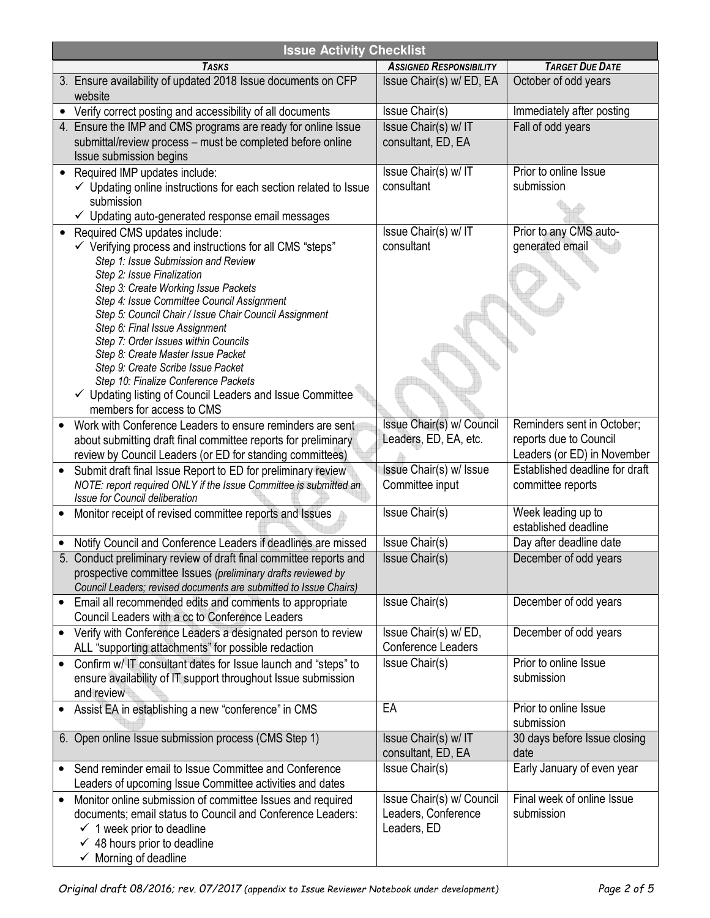| <b>Issue Activity Checklist</b> |                                                                                                                                   |                                |                                                       |
|---------------------------------|-----------------------------------------------------------------------------------------------------------------------------------|--------------------------------|-------------------------------------------------------|
|                                 | <b>TASKS</b>                                                                                                                      | <b>ASSIGNED RESPONSIBILITY</b> | <b>TARGET DUE DATE</b>                                |
|                                 | 3. Ensure availability of updated 2018 Issue documents on CFP                                                                     | Issue Chair(s) w/ ED, EA       | October of odd years                                  |
|                                 | website                                                                                                                           |                                |                                                       |
|                                 | Verify correct posting and accessibility of all documents                                                                         | Issue Chair(s)                 | Immediately after posting                             |
|                                 | 4. Ensure the IMP and CMS programs are ready for online Issue                                                                     | Issue Chair(s) w/ IT           | Fall of odd years                                     |
|                                 | submittal/review process - must be completed before online                                                                        | consultant, ED, EA             |                                                       |
|                                 | Issue submission begins                                                                                                           |                                |                                                       |
|                                 | Required IMP updates include:                                                                                                     | Issue Chair(s) w/ IT           | Prior to online Issue                                 |
|                                 | ✓ Updating online instructions for each section related to Issue                                                                  | consultant                     | submission                                            |
|                                 | submission                                                                                                                        |                                |                                                       |
|                                 | $\checkmark$ Updating auto-generated response email messages                                                                      |                                |                                                       |
| $\bullet$                       | Required CMS updates include:                                                                                                     | Issue Chair(s) w/ IT           | Prior to any CMS auto-                                |
|                                 | $\checkmark$ Verifying process and instructions for all CMS "steps"                                                               | consultant                     | generated email                                       |
|                                 | Step 1: Issue Submission and Review                                                                                               |                                |                                                       |
|                                 | Step 2: Issue Finalization                                                                                                        |                                |                                                       |
|                                 | Step 3: Create Working Issue Packets<br>Step 4: Issue Committee Council Assignment                                                |                                |                                                       |
|                                 | Step 5: Council Chair / Issue Chair Council Assignment                                                                            |                                |                                                       |
|                                 | Step 6: Final Issue Assignment                                                                                                    |                                |                                                       |
|                                 | Step 7: Order Issues within Councils                                                                                              |                                |                                                       |
|                                 | Step 8: Create Master Issue Packet                                                                                                |                                |                                                       |
|                                 | Step 9: Create Scribe Issue Packet                                                                                                |                                |                                                       |
|                                 | Step 10: Finalize Conference Packets                                                                                              |                                |                                                       |
|                                 | ✓ Updating listing of Council Leaders and Issue Committee                                                                         |                                |                                                       |
|                                 | members for access to CMS                                                                                                         |                                |                                                       |
|                                 | Work with Conference Leaders to ensure reminders are sent                                                                         | Issue Chair(s) w/ Council      | Reminders sent in October;                            |
|                                 | about submitting draft final committee reports for preliminary                                                                    | Leaders, ED, EA, etc.          | reports due to Council<br>Leaders (or ED) in November |
|                                 | review by Council Leaders (or ED for standing committees)                                                                         | Issue Chair(s) w/ Issue        | Established deadline for draft                        |
|                                 | Submit draft final Issue Report to ED for preliminary review<br>NOTE: report required ONLY if the Issue Committee is submitted an | Committee input                | committee reports                                     |
|                                 | Issue for Council deliberation                                                                                                    |                                |                                                       |
|                                 | Monitor receipt of revised committee reports and Issues                                                                           | Issue Chair(s)                 | Week leading up to                                    |
|                                 |                                                                                                                                   |                                | established deadline                                  |
|                                 | Notify Council and Conference Leaders if deadlines are missed                                                                     | Issue Chair(s)                 | Day after deadline date                               |
|                                 | 5. Conduct preliminary review of draft final committee reports and                                                                | Issue Chair(s)                 | December of odd years                                 |
|                                 | prospective committee Issues (preliminary drafts reviewed by                                                                      |                                |                                                       |
|                                 | Council Leaders; revised documents are submitted to Issue Chairs)                                                                 |                                |                                                       |
|                                 | Email all recommended edits and comments to appropriate                                                                           | Issue Chair(s)                 | December of odd years                                 |
|                                 | Council Leaders with a cc to Conference Leaders                                                                                   |                                |                                                       |
|                                 | Verify with Conference Leaders a designated person to review                                                                      | Issue Chair(s) w/ ED,          | December of odd years                                 |
|                                 | ALL "supporting attachments" for possible redaction                                                                               | <b>Conference Leaders</b>      |                                                       |
|                                 | Confirm w/ IT consultant dates for Issue launch and "steps" to                                                                    | Issue Chair(s)                 | Prior to online Issue                                 |
|                                 | ensure availability of IT support throughout Issue submission                                                                     |                                | submission                                            |
|                                 | and review                                                                                                                        |                                |                                                       |
|                                 | Assist EA in establishing a new "conference" in CMS                                                                               | EA                             | Prior to online Issue                                 |
|                                 |                                                                                                                                   |                                | submission                                            |
|                                 | 6. Open online Issue submission process (CMS Step 1)                                                                              | Issue Chair(s) w/ IT           | 30 days before Issue closing                          |
|                                 |                                                                                                                                   | consultant, ED, EA             | date                                                  |
|                                 | Send reminder email to Issue Committee and Conference                                                                             | Issue Chair(s)                 | Early January of even year                            |
|                                 | Leaders of upcoming Issue Committee activities and dates                                                                          |                                |                                                       |
| $\bullet$                       | Monitor online submission of committee Issues and required                                                                        | Issue Chair(s) w/ Council      | Final week of online Issue                            |
|                                 | documents; email status to Council and Conference Leaders:                                                                        | Leaders, Conference            | submission                                            |
|                                 | $\checkmark$ 1 week prior to deadline                                                                                             | Leaders, ED                    |                                                       |
|                                 | $\checkmark$ 48 hours prior to deadline                                                                                           |                                |                                                       |
|                                 | $\checkmark$ Morning of deadline                                                                                                  |                                |                                                       |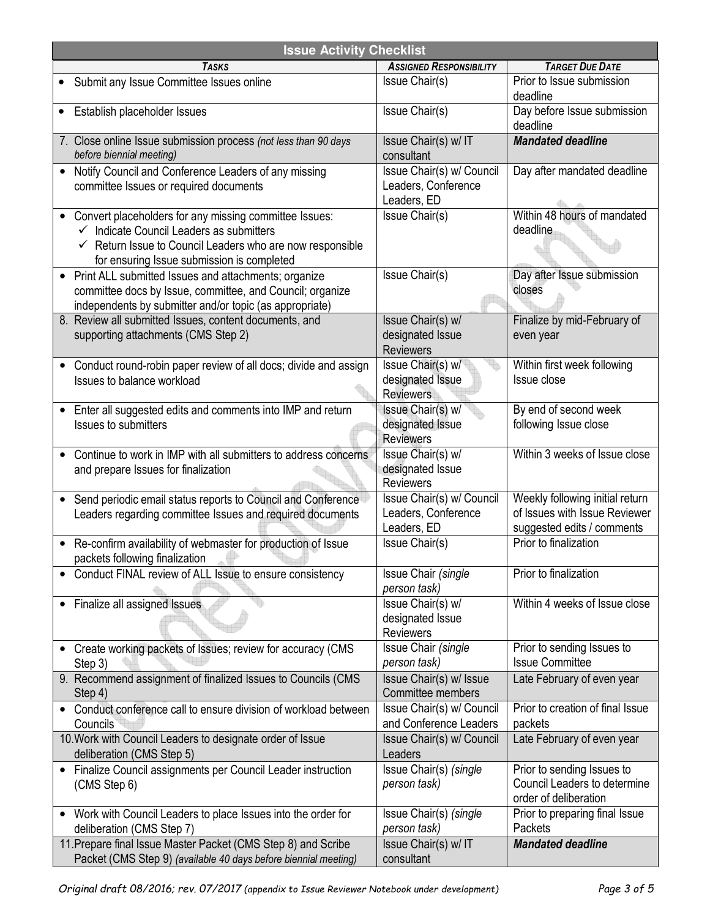| <b>Issue Activity Checklist</b>                                                                                                                                                                                                                        |                                                                 |                                                                                                |  |
|--------------------------------------------------------------------------------------------------------------------------------------------------------------------------------------------------------------------------------------------------------|-----------------------------------------------------------------|------------------------------------------------------------------------------------------------|--|
| <b>TASKS</b>                                                                                                                                                                                                                                           | <b>ASSIGNED RESPONSIBILITY</b>                                  | <b>TARGET DUE DATE</b>                                                                         |  |
| Submit any Issue Committee Issues online                                                                                                                                                                                                               | Issue Chair(s)                                                  | Prior to Issue submission<br>deadline                                                          |  |
| Establish placeholder Issues                                                                                                                                                                                                                           | Issue Chair(s)                                                  | Day before Issue submission<br>deadline                                                        |  |
| 7. Close online Issue submission process (not less than 90 days<br>before biennial meeting)                                                                                                                                                            | Issue Chair(s) w/ IT<br>consultant                              | <b>Mandated deadline</b>                                                                       |  |
| Notify Council and Conference Leaders of any missing<br>$\bullet$<br>committee Issues or required documents                                                                                                                                            | Issue Chair(s) w/ Council<br>Leaders, Conference<br>Leaders, ED | Day after mandated deadline                                                                    |  |
| Convert placeholders for any missing committee Issues:<br>$\bullet$<br>Indicate Council Leaders as submitters<br>$\checkmark$<br>Return Issue to Council Leaders who are now responsible<br>$\checkmark$<br>for ensuring Issue submission is completed | Issue Chair(s)                                                  | Within 48 hours of mandated<br>deadline                                                        |  |
| Print ALL submitted Issues and attachments; organize<br>$\bullet$<br>committee docs by Issue, committee, and Council; organize<br>independents by submitter and/or topic (as appropriate)                                                              | Issue Chair(s)                                                  | Day after Issue submission<br>closes                                                           |  |
| 8. Review all submitted Issues, content documents, and<br>supporting attachments (CMS Step 2)                                                                                                                                                          | Issue Chair(s) w/<br>designated Issue<br><b>Reviewers</b>       | Finalize by mid-February of<br>even year                                                       |  |
| Conduct round-robin paper review of all docs; divide and assign<br>Issues to balance workload                                                                                                                                                          | Issue Chair(s) w/<br>designated Issue<br><b>Reviewers</b>       | Within first week following<br>Issue close                                                     |  |
| Enter all suggested edits and comments into IMP and return<br>$\bullet$<br><b>Issues to submitters</b>                                                                                                                                                 | Issue Chair(s) w/<br>designated Issue<br><b>Reviewers</b>       | By end of second week<br>following Issue close                                                 |  |
| Continue to work in IMP with all submitters to address concerns<br>$\bullet$<br>and prepare Issues for finalization                                                                                                                                    | Issue Chair(s) w/<br>designated Issue<br><b>Reviewers</b>       | Within 3 weeks of Issue close                                                                  |  |
| Send periodic email status reports to Council and Conference<br>$\bullet$<br>Leaders regarding committee Issues and required documents                                                                                                                 | Issue Chair(s) w/ Council<br>Leaders, Conference<br>Leaders, ED | Weekly following initial return<br>of Issues with Issue Reviewer<br>suggested edits / comments |  |
| Re-confirm availability of webmaster for production of Issue<br>$\bullet$<br>packets following finalization                                                                                                                                            | Issue Chair(s)                                                  | Prior to finalization                                                                          |  |
| Conduct FINAL review of ALL Issue to ensure consistency                                                                                                                                                                                                | Issue Chair (single<br>person task)                             | Prior to finalization                                                                          |  |
| Finalize all assigned Issues<br>$\bullet$                                                                                                                                                                                                              | Issue Chair(s) w/<br>designated Issue<br><b>Reviewers</b>       | Within 4 weeks of Issue close                                                                  |  |
| Create working packets of Issues; review for accuracy (CMS<br>$\bullet$<br>Step 3)                                                                                                                                                                     | Issue Chair (single<br>person task)                             | Prior to sending Issues to<br><b>Issue Committee</b>                                           |  |
| 9. Recommend assignment of finalized Issues to Councils (CMS<br>Step 4)                                                                                                                                                                                | Issue Chair(s) w/ Issue<br>Committee members                    | Late February of even year                                                                     |  |
| Conduct conference call to ensure division of workload between<br>٠<br>Councils                                                                                                                                                                        | Issue Chair(s) w/ Council<br>and Conference Leaders             | Prior to creation of final Issue<br>packets                                                    |  |
| 10. Work with Council Leaders to designate order of Issue<br>deliberation (CMS Step 5)                                                                                                                                                                 | Issue Chair(s) w/ Council<br>Leaders                            | Late February of even year                                                                     |  |
| Finalize Council assignments per Council Leader instruction<br>$\bullet$<br>(CMS Step 6)                                                                                                                                                               | Issue Chair(s) (single<br>person task)                          | Prior to sending Issues to<br>Council Leaders to determine<br>order of deliberation            |  |
| Work with Council Leaders to place Issues into the order for<br>$\bullet$<br>deliberation (CMS Step 7)                                                                                                                                                 | Issue Chair(s) (single<br>person task)                          | Prior to preparing final Issue<br>Packets                                                      |  |
| 11. Prepare final Issue Master Packet (CMS Step 8) and Scribe<br>Packet (CMS Step 9) (available 40 days before biennial meeting)                                                                                                                       | Issue Chair(s) w/ IT<br>consultant                              | <b>Mandated deadline</b>                                                                       |  |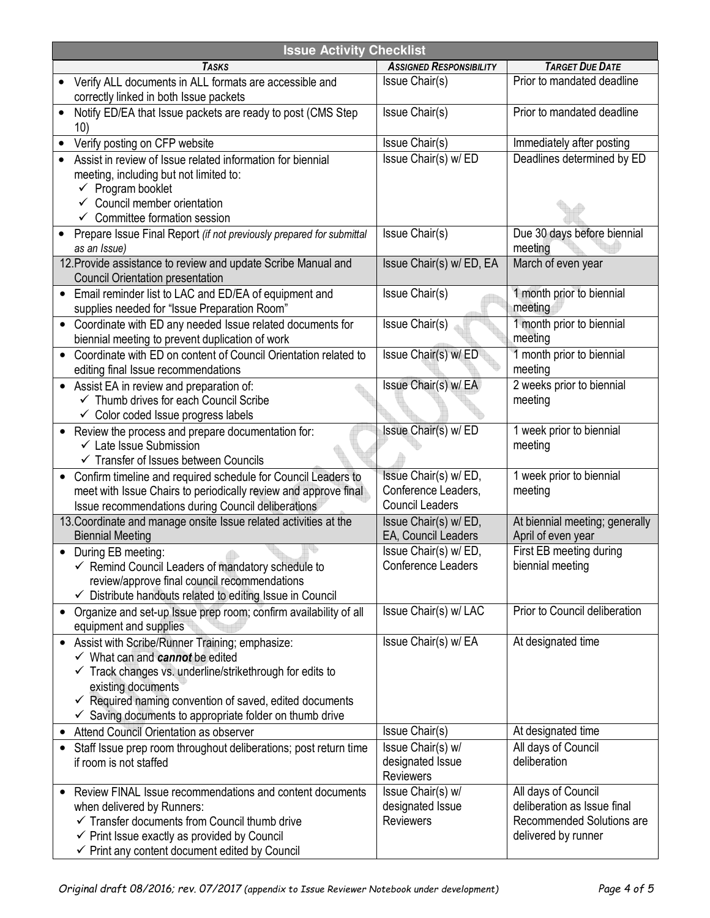| <b>Issue Activity Checklist</b> |                                                                                                                                                                                                                                                                                                                                       |                                                                       |                                                                                                        |
|---------------------------------|---------------------------------------------------------------------------------------------------------------------------------------------------------------------------------------------------------------------------------------------------------------------------------------------------------------------------------------|-----------------------------------------------------------------------|--------------------------------------------------------------------------------------------------------|
|                                 | <b>TASKS</b>                                                                                                                                                                                                                                                                                                                          | <b>ASSIGNED RESPONSIBILITY</b>                                        | <b>TARGET DUE DATE</b>                                                                                 |
|                                 | Verify ALL documents in ALL formats are accessible and<br>correctly linked in both Issue packets                                                                                                                                                                                                                                      | Issue Chair(s)                                                        | Prior to mandated deadline                                                                             |
|                                 | Notify ED/EA that Issue packets are ready to post (CMS Step)<br>10)                                                                                                                                                                                                                                                                   | Issue Chair(s)                                                        | Prior to mandated deadline                                                                             |
|                                 | Verify posting on CFP website                                                                                                                                                                                                                                                                                                         | Issue Chair(s)                                                        | Immediately after posting                                                                              |
|                                 | Assist in review of Issue related information for biennial<br>meeting, including but not limited to:<br>$\checkmark$ Program booklet<br>$\checkmark$ Council member orientation                                                                                                                                                       | Issue Chair(s) w/ ED                                                  | Deadlines determined by ED                                                                             |
|                                 | $\checkmark$ Committee formation session                                                                                                                                                                                                                                                                                              |                                                                       |                                                                                                        |
|                                 | Prepare Issue Final Report (if not previously prepared for submittal<br>as an Issue)                                                                                                                                                                                                                                                  | Issue Chair(s)                                                        | Due 30 days before biennial<br>meeting                                                                 |
|                                 | 12. Provide assistance to review and update Scribe Manual and<br><b>Council Orientation presentation</b>                                                                                                                                                                                                                              | Issue Chair(s) w/ED, EA                                               | March of even year                                                                                     |
|                                 | Email reminder list to LAC and ED/EA of equipment and<br>supplies needed for "Issue Preparation Room"                                                                                                                                                                                                                                 | Issue Chair(s)                                                        | 1 month prior to biennial<br>meeting                                                                   |
| $\bullet$                       | Coordinate with ED any needed Issue related documents for<br>biennial meeting to prevent duplication of work                                                                                                                                                                                                                          | <b>Issue Chair(s)</b>                                                 | 1 month prior to biennial<br>meeting                                                                   |
|                                 | Coordinate with ED on content of Council Orientation related to<br>editing final Issue recommendations                                                                                                                                                                                                                                | Issue Chair(s) w/ ED                                                  | 1 month prior to biennial<br>meeting                                                                   |
|                                 | • Assist EA in review and preparation of:<br>← Thumb drives for each Council Scribe<br>$\checkmark$ Color coded Issue progress labels                                                                                                                                                                                                 | Issue Chair(s) w/ EA                                                  | 2 weeks prior to biennial<br>meeting                                                                   |
| $\bullet$                       | Review the process and prepare documentation for:<br>$\checkmark$ Late Issue Submission<br>$\checkmark$ Transfer of Issues between Councils                                                                                                                                                                                           | Issue Chair(s) w/ ED                                                  | 1 week prior to biennial<br>meeting                                                                    |
|                                 | Confirm timeline and required schedule for Council Leaders to<br>meet with Issue Chairs to periodically review and approve final<br>Issue recommendations during Council deliberations                                                                                                                                                | Issue Chair(s) w/ED,<br>Conference Leaders,<br><b>Council Leaders</b> | 1 week prior to biennial<br>meeting                                                                    |
|                                 | 13. Coordinate and manage onsite Issue related activities at the<br><b>Biennial Meeting</b>                                                                                                                                                                                                                                           | Issue Chair(s) w/ ED,<br>EA, Council Leaders                          | At biennial meeting; generally<br>April of even year                                                   |
|                                 | • During EB meeting:<br>$\checkmark$ Remind Council Leaders of mandatory schedule to<br>review/approve final council recommendations<br>✓ Distribute handouts related to editing Issue in Council                                                                                                                                     | Issue Chair(s) w/ED,<br>Conference Leaders                            | First EB meeting during<br>biennial meeting                                                            |
| $\bullet$                       | Organize and set-up Issue prep room; confirm availability of all<br>equipment and supplies                                                                                                                                                                                                                                            | Issue Chair(s) w/ LAC                                                 | Prior to Council deliberation                                                                          |
| $\bullet$                       | Assist with Scribe/Runner Training; emphasize:<br>$\checkmark$ What can and cannot be edited<br>$\checkmark$ Track changes vs. underline/strikethrough for edits to<br>existing documents<br>$\checkmark$ Required naming convention of saved, edited documents<br>$\checkmark$ Saving documents to appropriate folder on thumb drive | Issue Chair(s) w/ EA                                                  | At designated time                                                                                     |
|                                 | Attend Council Orientation as observer                                                                                                                                                                                                                                                                                                | Issue Chair(s)                                                        | At designated time                                                                                     |
|                                 | Staff Issue prep room throughout deliberations; post return time<br>if room is not staffed                                                                                                                                                                                                                                            | Issue Chair(s) w/<br>designated Issue<br><b>Reviewers</b>             | All days of Council<br>deliberation                                                                    |
|                                 | Review FINAL Issue recommendations and content documents<br>when delivered by Runners:<br>$\checkmark$ Transfer documents from Council thumb drive<br>$\checkmark$ Print Issue exactly as provided by Council<br>$\checkmark$ Print any content document edited by Council                                                            | Issue Chair(s) w/<br>designated Issue<br><b>Reviewers</b>             | All days of Council<br>deliberation as Issue final<br>Recommended Solutions are<br>delivered by runner |